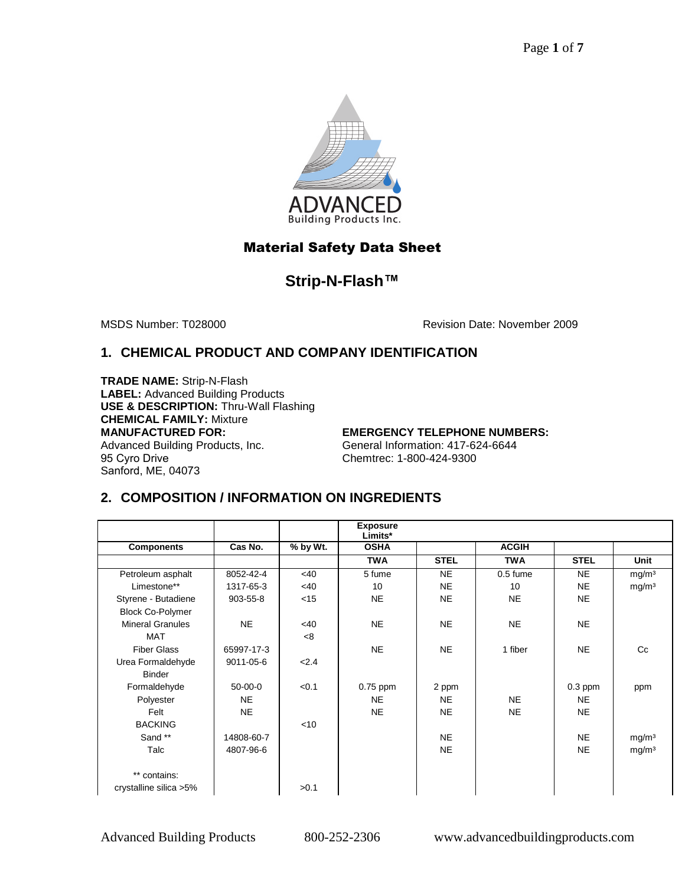

# Material Safety Data Sheet

# **Strip-N-Flash™**

MSDS Number: T028000 Revision Date: November 2009

# **1. CHEMICAL PRODUCT AND COMPANY IDENTIFICATION**

**TRADE NAME:** Strip-N-Flash **LABEL:** Advanced Building Products **USE & DESCRIPTION:** Thru-Wall Flashing **CHEMICAL FAMILY:** Mixture **MANUFACTURED FOR:**  Advanced Building Products, Inc. 95 Cyro Drive Sanford, ME, 04073

**EMERGENCY TELEPHONE NUMBERS:**  General Information: 417-624-6644 Chemtrec: 1-800-424-9300

# **2. COMPOSITION / INFORMATION ON INGREDIENTS**

|                         |            |          | <b>Exposure</b><br>Limits* |             |              |             |                   |
|-------------------------|------------|----------|----------------------------|-------------|--------------|-------------|-------------------|
| <b>Components</b>       | Cas No.    | % by Wt. | <b>OSHA</b>                |             | <b>ACGIH</b> |             |                   |
|                         |            |          | <b>TWA</b>                 | <b>STEL</b> | <b>TWA</b>   | <b>STEL</b> | Unit              |
| Petroleum asphalt       | 8052-42-4  | <40      | 5 fume                     | <b>NE</b>   | $0.5$ fume   | <b>NE</b>   | mg/m <sup>3</sup> |
| Limestone**             | 1317-65-3  | <40      | 10                         | <b>NE</b>   | 10           | <b>NE</b>   | mg/m <sup>3</sup> |
| Styrene - Butadiene     | 903-55-8   | $<$ 15   | NE                         | <b>NE</b>   | <b>NE</b>    | <b>NE</b>   |                   |
| <b>Block Co-Polymer</b> |            |          |                            |             |              |             |                   |
| <b>Mineral Granules</b> | <b>NE</b>  | $<$ 40   | NE                         | <b>NE</b>   | <b>NE</b>    | <b>NE</b>   |                   |
| <b>MAT</b>              |            | <8       |                            |             |              |             |                   |
| <b>Fiber Glass</b>      | 65997-17-3 |          | NE.                        | <b>NE</b>   | 1 fiber      | <b>NE</b>   | $_{\rm C}$        |
| Urea Formaldehyde       | 9011-05-6  | 2.4      |                            |             |              |             |                   |
| <b>Binder</b>           |            |          |                            |             |              |             |                   |
| Formaldehyde            | $50-00-0$  | < 0.1    | $0.75$ ppm                 | 2 ppm       |              | $0.3$ ppm   | ppm               |
| Polyester               | <b>NE</b>  |          | <b>NE</b>                  | <b>NE</b>   | <b>NE</b>    | <b>NE</b>   |                   |
| Felt                    | <b>NE</b>  |          | NE                         | <b>NE</b>   | <b>NE</b>    | <b>NE</b>   |                   |
| <b>BACKING</b>          |            | < 10     |                            |             |              |             |                   |
| Sand **                 | 14808-60-7 |          |                            | <b>NE</b>   |              | <b>NE</b>   | mg/m <sup>3</sup> |
| Talc                    | 4807-96-6  |          |                            | <b>NE</b>   |              | <b>NE</b>   | mg/m <sup>3</sup> |
|                         |            |          |                            |             |              |             |                   |
| ** contains:            |            |          |                            |             |              |             |                   |
| crystalline silica >5%  |            | >0.1     |                            |             |              |             |                   |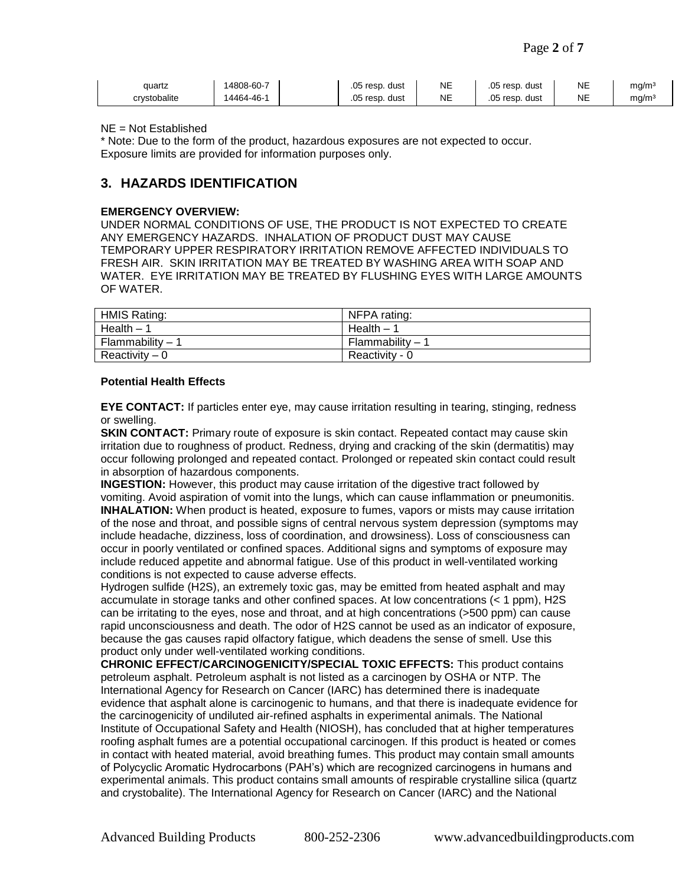| auartz       | 4808-60-7 | $.05$ resp.<br>. dust | <b>NE</b> | $.05$ resp.<br>dust | NE | mg/mª |
|--------------|-----------|-----------------------|-----------|---------------------|----|-------|
| crvstobalite | 4464-46-1 | $.05$ resp.<br>. dust | <b>NE</b> | $.05$ resp.<br>dust | NE | mg/mª |

#### NE = Not Established

\* Note: Due to the form of the product, hazardous exposures are not expected to occur. Exposure limits are provided for information purposes only.

## **3. HAZARDS IDENTIFICATION**

#### **EMERGENCY OVERVIEW:**

UNDER NORMAL CONDITIONS OF USE, THE PRODUCT IS NOT EXPECTED TO CREATE ANY EMERGENCY HAZARDS. INHALATION OF PRODUCT DUST MAY CAUSE TEMPORARY UPPER RESPIRATORY IRRITATION REMOVE AFFECTED INDIVIDUALS TO FRESH AIR. SKIN IRRITATION MAY BE TREATED BY WASHING AREA WITH SOAP AND WATER. EYE IRRITATION MAY BE TREATED BY FLUSHING EYES WITH LARGE AMOUNTS OF WATER.

| <b>HMIS Rating:</b> | NFPA rating:     |
|---------------------|------------------|
| Health $-1$         | Health $-1$      |
| Flammability – 1    | Flammability – 1 |
| Reactivity $-0$     | Reactivity - 0   |

#### **Potential Health Effects**

**EYE CONTACT:** If particles enter eye, may cause irritation resulting in tearing, stinging, redness or swelling.

**SKIN CONTACT:** Primary route of exposure is skin contact. Repeated contact may cause skin irritation due to roughness of product. Redness, drying and cracking of the skin (dermatitis) may occur following prolonged and repeated contact. Prolonged or repeated skin contact could result in absorption of hazardous components.

**INGESTION:** However, this product may cause irritation of the digestive tract followed by vomiting. Avoid aspiration of vomit into the lungs, which can cause inflammation or pneumonitis. **INHALATION:** When product is heated, exposure to fumes, vapors or mists may cause irritation of the nose and throat, and possible signs of central nervous system depression (symptoms may include headache, dizziness, loss of coordination, and drowsiness). Loss of consciousness can occur in poorly ventilated or confined spaces. Additional signs and symptoms of exposure may include reduced appetite and abnormal fatigue. Use of this product in well-ventilated working conditions is not expected to cause adverse effects.

Hydrogen sulfide (H2S), an extremely toxic gas, may be emitted from heated asphalt and may accumulate in storage tanks and other confined spaces. At low concentrations (< 1 ppm), H2S can be irritating to the eyes, nose and throat, and at high concentrations (>500 ppm) can cause rapid unconsciousness and death. The odor of H2S cannot be used as an indicator of exposure, because the gas causes rapid olfactory fatigue, which deadens the sense of smell. Use this product only under well-ventilated working conditions.

**CHRONIC EFFECT/CARCINOGENICITY/SPECIAL TOXIC EFFECTS:** This product contains petroleum asphalt. Petroleum asphalt is not listed as a carcinogen by OSHA or NTP. The International Agency for Research on Cancer (IARC) has determined there is inadequate evidence that asphalt alone is carcinogenic to humans, and that there is inadequate evidence for the carcinogenicity of undiluted air-refined asphalts in experimental animals. The National Institute of Occupational Safety and Health (NIOSH), has concluded that at higher temperatures roofing asphalt fumes are a potential occupational carcinogen. If this product is heated or comes in contact with heated material, avoid breathing fumes. This product may contain small amounts of Polycyclic Aromatic Hydrocarbons (PAH's) which are recognized carcinogens in humans and experimental animals. This product contains small amounts of respirable crystalline silica (quartz and crystobalite). The International Agency for Research on Cancer (IARC) and the National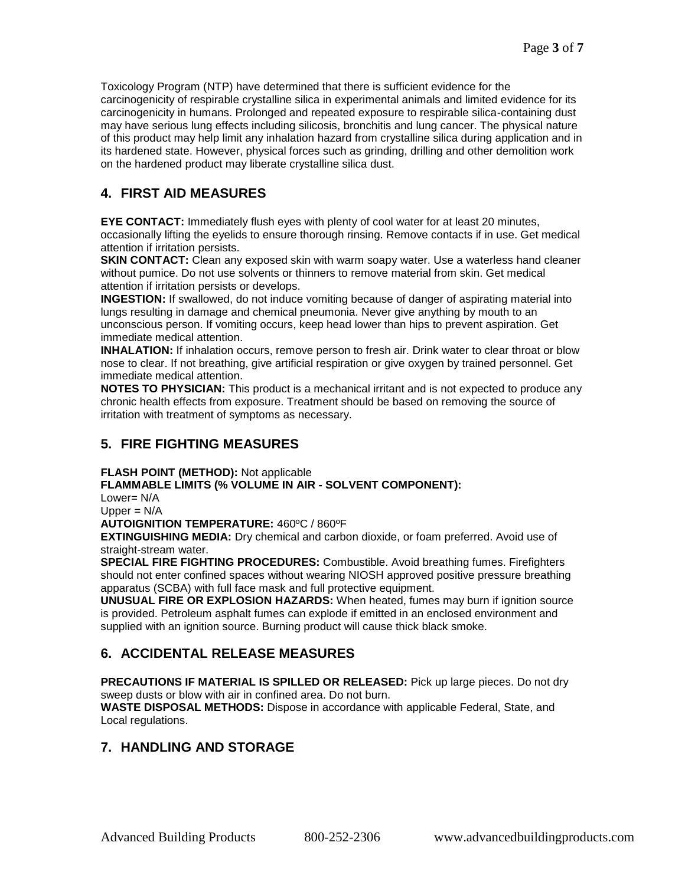Toxicology Program (NTP) have determined that there is sufficient evidence for the carcinogenicity of respirable crystalline silica in experimental animals and limited evidence for its carcinogenicity in humans. Prolonged and repeated exposure to respirable silica-containing dust may have serious lung effects including silicosis, bronchitis and lung cancer. The physical nature of this product may help limit any inhalation hazard from crystalline silica during application and in its hardened state. However, physical forces such as grinding, drilling and other demolition work on the hardened product may liberate crystalline silica dust.

## **4. FIRST AID MEASURES**

**EYE CONTACT:** Immediately flush eyes with plenty of cool water for at least 20 minutes, occasionally lifting the eyelids to ensure thorough rinsing. Remove contacts if in use. Get medical attention if irritation persists.

**SKIN CONTACT:** Clean any exposed skin with warm soapy water. Use a waterless hand cleaner without pumice. Do not use solvents or thinners to remove material from skin. Get medical attention if irritation persists or develops.

**INGESTION:** If swallowed, do not induce vomiting because of danger of aspirating material into lungs resulting in damage and chemical pneumonia. Never give anything by mouth to an unconscious person. If vomiting occurs, keep head lower than hips to prevent aspiration. Get immediate medical attention.

**INHALATION:** If inhalation occurs, remove person to fresh air. Drink water to clear throat or blow nose to clear. If not breathing, give artificial respiration or give oxygen by trained personnel. Get immediate medical attention.

**NOTES TO PHYSICIAN:** This product is a mechanical irritant and is not expected to produce any chronic health effects from exposure. Treatment should be based on removing the source of irritation with treatment of symptoms as necessary.

## **5. FIRE FIGHTING MEASURES**

**FLASH POINT (METHOD):** Not applicable

**FLAMMABLE LIMITS (% VOLUME IN AIR - SOLVENT COMPONENT):** 

Lower= N/A

 $U$ pper =  $N/A$ 

**AUTOIGNITION TEMPERATURE:** 460ºC / 860ºF

**EXTINGUISHING MEDIA:** Dry chemical and carbon dioxide, or foam preferred. Avoid use of straight-stream water.

**SPECIAL FIRE FIGHTING PROCEDURES:** Combustible. Avoid breathing fumes. Firefighters should not enter confined spaces without wearing NIOSH approved positive pressure breathing apparatus (SCBA) with full face mask and full protective equipment.

**UNUSUAL FIRE OR EXPLOSION HAZARDS:** When heated, fumes may burn if ignition source is provided. Petroleum asphalt fumes can explode if emitted in an enclosed environment and supplied with an ignition source. Burning product will cause thick black smoke.

# **6. ACCIDENTAL RELEASE MEASURES**

**PRECAUTIONS IF MATERIAL IS SPILLED OR RELEASED:** Pick up large pieces. Do not dry sweep dusts or blow with air in confined area. Do not burn.

**WASTE DISPOSAL METHODS:** Dispose in accordance with applicable Federal, State, and Local regulations.

## **7. HANDLING AND STORAGE**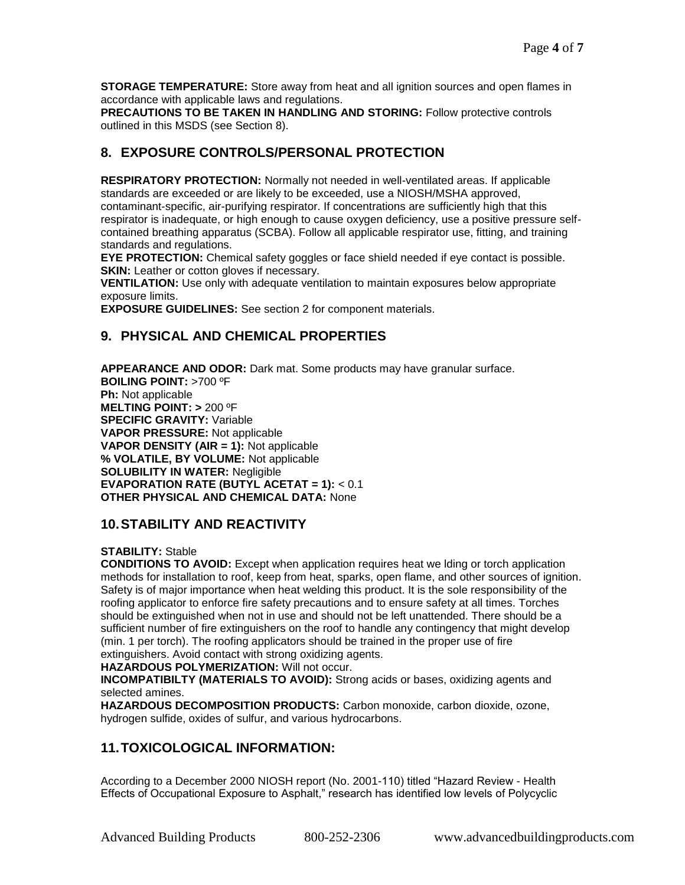**STORAGE TEMPERATURE:** Store away from heat and all ignition sources and open flames in accordance with applicable laws and regulations.

**PRECAUTIONS TO BE TAKEN IN HANDLING AND STORING:** Follow protective controls outlined in this MSDS (see Section 8).

## **8. EXPOSURE CONTROLS/PERSONAL PROTECTION**

**RESPIRATORY PROTECTION:** Normally not needed in well-ventilated areas. If applicable standards are exceeded or are likely to be exceeded, use a NIOSH/MSHA approved, contaminant-specific, air-purifying respirator. If concentrations are sufficiently high that this respirator is inadequate, or high enough to cause oxygen deficiency, use a positive pressure selfcontained breathing apparatus (SCBA). Follow all applicable respirator use, fitting, and training standards and regulations.

**EYE PROTECTION:** Chemical safety goggles or face shield needed if eye contact is possible. **SKIN:** Leather or cotton gloves if necessary.

**VENTILATION:** Use only with adequate ventilation to maintain exposures below appropriate exposure limits.

**EXPOSURE GUIDELINES:** See section 2 for component materials.

## **9. PHYSICAL AND CHEMICAL PROPERTIES**

**APPEARANCE AND ODOR:** Dark mat. Some products may have granular surface. **BOILING POINT:** >700 ºF **Ph:** Not applicable **MELTING POINT: >** 200 ºF **SPECIFIC GRAVITY:** Variable **VAPOR PRESSURE:** Not applicable **VAPOR DENSITY (AIR = 1):** Not applicable **% VOLATILE, BY VOLUME:** Not applicable **SOLUBILITY IN WATER:** Negligible **EVAPORATION RATE (BUTYL ACETAT = 1):** < 0.1 **OTHER PHYSICAL AND CHEMICAL DATA:** None

## **10. STABILITY AND REACTIVITY**

#### **STABILITY:** Stable

**CONDITIONS TO AVOID:** Except when application requires heat we lding or torch application methods for installation to roof, keep from heat, sparks, open flame, and other sources of ignition. Safety is of major importance when heat welding this product. It is the sole responsibility of the roofing applicator to enforce fire safety precautions and to ensure safety at all times. Torches should be extinguished when not in use and should not be left unattended. There should be a sufficient number of fire extinguishers on the roof to handle any contingency that might develop (min. 1 per torch). The roofing applicators should be trained in the proper use of fire extinguishers. Avoid contact with strong oxidizing agents.

#### **HAZARDOUS POLYMERIZATION:** Will not occur.

**INCOMPATIBILTY (MATERIALS TO AVOID):** Strong acids or bases, oxidizing agents and selected amines.

**HAZARDOUS DECOMPOSITION PRODUCTS:** Carbon monoxide, carbon dioxide, ozone, hydrogen sulfide, oxides of sulfur, and various hydrocarbons.

## **11. TOXICOLOGICAL INFORMATION:**

According to a December 2000 NIOSH report (No. 2001-110) titled "Hazard Review - Health Effects of Occupational Exposure to Asphalt," research has identified low levels of Polycyclic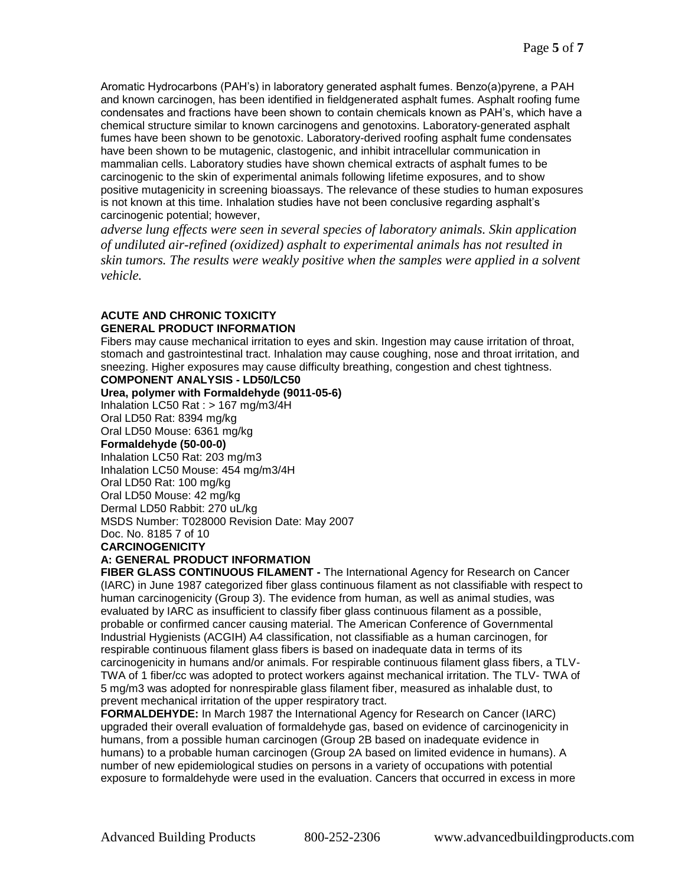Aromatic Hydrocarbons (PAH's) in laboratory generated asphalt fumes. Benzo(a)pyrene, a PAH and known carcinogen, has been identified in fieldgenerated asphalt fumes. Asphalt roofing fume condensates and fractions have been shown to contain chemicals known as PAH's, which have a chemical structure similar to known carcinogens and genotoxins. Laboratory-generated asphalt fumes have been shown to be genotoxic. Laboratory-derived roofing asphalt fume condensates have been shown to be mutagenic, clastogenic, and inhibit intracellular communication in mammalian cells. Laboratory studies have shown chemical extracts of asphalt fumes to be carcinogenic to the skin of experimental animals following lifetime exposures, and to show positive mutagenicity in screening bioassays. The relevance of these studies to human exposures is not known at this time. Inhalation studies have not been conclusive regarding asphalt's carcinogenic potential; however,

*adverse lung effects were seen in several species of laboratory animals. Skin application of undiluted air-refined (oxidized) asphalt to experimental animals has not resulted in skin tumors. The results were weakly positive when the samples were applied in a solvent vehicle.* 

#### **ACUTE AND CHRONIC TOXICITY GENERAL PRODUCT INFORMATION**

Fibers may cause mechanical irritation to eyes and skin. Ingestion may cause irritation of throat, stomach and gastrointestinal tract. Inhalation may cause coughing, nose and throat irritation, and sneezing. Higher exposures may cause difficulty breathing, congestion and chest tightness.

### **COMPONENT ANALYSIS - LD50/LC50**

**Urea, polymer with Formaldehyde (9011-05-6)**

Inhalation LC50 Rat : > 167 mg/m3/4H Oral LD50 Rat: 8394 mg/kg

Oral LD50 Mouse: 6361 mg/kg

#### **Formaldehyde (50-00-0)**

Inhalation LC50 Rat: 203 mg/m3 Inhalation LC50 Mouse: 454 mg/m3/4H Oral LD50 Rat: 100 mg/kg Oral LD50 Mouse: 42 mg/kg

Dermal LD50 Rabbit: 270 uL/kg

MSDS Number: T028000 Revision Date: May 2007

#### Doc. No. 8185 7 of 10

### **CARCINOGENICITY**

## **A: GENERAL PRODUCT INFORMATION**

**FIBER GLASS CONTINUOUS FILAMENT -** The International Agency for Research on Cancer (IARC) in June 1987 categorized fiber glass continuous filament as not classifiable with respect to human carcinogenicity (Group 3). The evidence from human, as well as animal studies, was evaluated by IARC as insufficient to classify fiber glass continuous filament as a possible, probable or confirmed cancer causing material. The American Conference of Governmental Industrial Hygienists (ACGIH) A4 classification, not classifiable as a human carcinogen, for respirable continuous filament glass fibers is based on inadequate data in terms of its carcinogenicity in humans and/or animals. For respirable continuous filament glass fibers, a TLV-TWA of 1 fiber/cc was adopted to protect workers against mechanical irritation. The TLV- TWA of 5 mg/m3 was adopted for nonrespirable glass filament fiber, measured as inhalable dust, to prevent mechanical irritation of the upper respiratory tract.

**FORMALDEHYDE:** In March 1987 the International Agency for Research on Cancer (IARC) upgraded their overall evaluation of formaldehyde gas, based on evidence of carcinogenicity in humans, from a possible human carcinogen (Group 2B based on inadequate evidence in humans) to a probable human carcinogen (Group 2A based on limited evidence in humans). A number of new epidemiological studies on persons in a variety of occupations with potential exposure to formaldehyde were used in the evaluation. Cancers that occurred in excess in more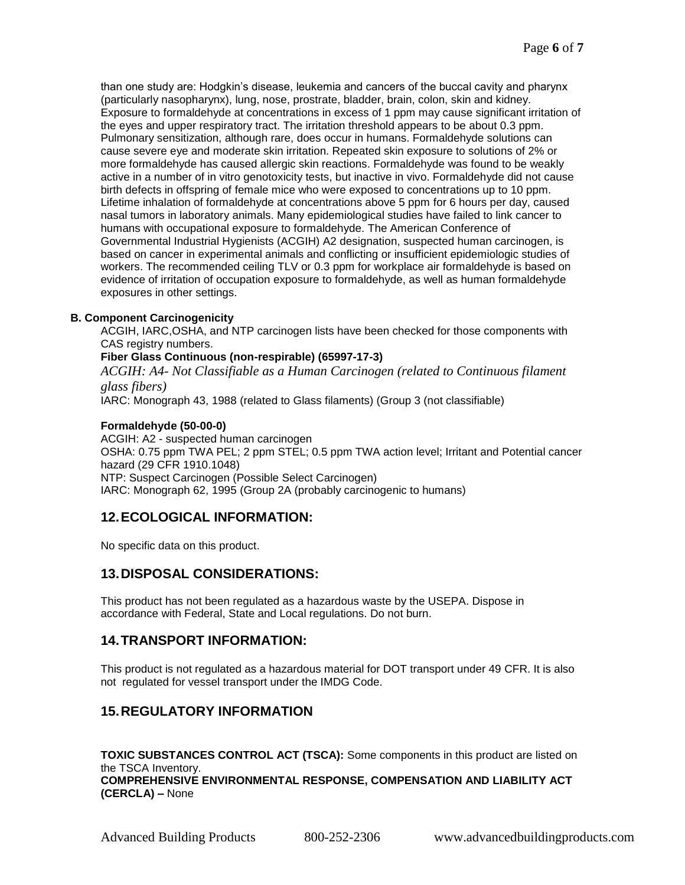than one study are: Hodgkin's disease, leukemia and cancers of the buccal cavity and pharynx (particularly nasopharynx), lung, nose, prostrate, bladder, brain, colon, skin and kidney. Exposure to formaldehyde at concentrations in excess of 1 ppm may cause significant irritation of the eyes and upper respiratory tract. The irritation threshold appears to be about 0.3 ppm. Pulmonary sensitization, although rare, does occur in humans. Formaldehyde solutions can cause severe eye and moderate skin irritation. Repeated skin exposure to solutions of 2% or more formaldehyde has caused allergic skin reactions. Formaldehyde was found to be weakly active in a number of in vitro genotoxicity tests, but inactive in vivo. Formaldehyde did not cause birth defects in offspring of female mice who were exposed to concentrations up to 10 ppm. Lifetime inhalation of formaldehyde at concentrations above 5 ppm for 6 hours per day, caused nasal tumors in laboratory animals. Many epidemiological studies have failed to link cancer to humans with occupational exposure to formaldehyde. The American Conference of Governmental Industrial Hygienists (ACGIH) A2 designation, suspected human carcinogen, is based on cancer in experimental animals and conflicting or insufficient epidemiologic studies of workers. The recommended ceiling TLV or 0.3 ppm for workplace air formaldehyde is based on evidence of irritation of occupation exposure to formaldehyde, as well as human formaldehyde exposures in other settings.

#### **B. Component Carcinogenicity**

ACGIH, IARC,OSHA, and NTP carcinogen lists have been checked for those components with CAS registry numbers.

#### **Fiber Glass Continuous (non-respirable) (65997-17-3)**

*ACGIH: A4- Not Classifiable as a Human Carcinogen (related to Continuous filament glass fibers)* 

IARC: Monograph 43, 1988 (related to Glass filaments) (Group 3 (not classifiable)

#### **Formaldehyde (50-00-0)**

ACGIH: A2 - suspected human carcinogen OSHA: 0.75 ppm TWA PEL; 2 ppm STEL; 0.5 ppm TWA action level; Irritant and Potential cancer hazard (29 CFR 1910.1048) NTP: Suspect Carcinogen (Possible Select Carcinogen) IARC: Monograph 62, 1995 (Group 2A (probably carcinogenic to humans)

## **12. ECOLOGICAL INFORMATION:**

No specific data on this product.

## **13. DISPOSAL CONSIDERATIONS:**

This product has not been regulated as a hazardous waste by the USEPA. Dispose in accordance with Federal, State and Local regulations. Do not burn.

## **14. TRANSPORT INFORMATION:**

This product is not regulated as a hazardous material for DOT transport under 49 CFR. It is also not regulated for vessel transport under the IMDG Code.

## **15. REGULATORY INFORMATION**

**TOXIC SUBSTANCES CONTROL ACT (TSCA):** Some components in this product are listed on the TSCA Inventory. **COMPREHENSIVE ENVIRONMENTAL RESPONSE, COMPENSATION AND LIABILITY ACT (CERCLA) –** None